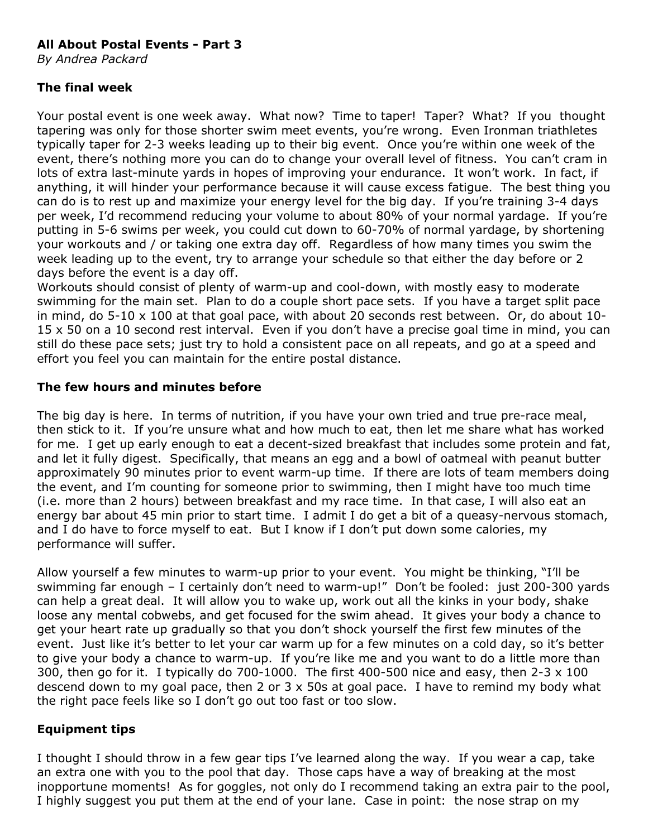### **All About Postal Events - Part 3**

*By Andrea Packard*

## **The final week**

Your postal event is one week away. What now? Time to taper! Taper? What? If you thought tapering was only for those shorter swim meet events, you're wrong. Even Ironman triathletes typically taper for 2-3 weeks leading up to their big event. Once you're within one week of the event, there's nothing more you can do to change your overall level of fitness. You can't cram in lots of extra last-minute yards in hopes of improving your endurance. It won't work. In fact, if anything, it will hinder your performance because it will cause excess fatigue. The best thing you can do is to rest up and maximize your energy level for the big day. If you're training 3-4 days per week, I'd recommend reducing your volume to about 80% of your normal yardage. If you're putting in 5-6 swims per week, you could cut down to 60-70% of normal yardage, by shortening your workouts and / or taking one extra day off. Regardless of how many times you swim the week leading up to the event, try to arrange your schedule so that either the day before or 2 days before the event is a day off.

Workouts should consist of plenty of warm-up and cool-down, with mostly easy to moderate swimming for the main set. Plan to do a couple short pace sets. If you have a target split pace in mind, do  $5-10 \times 100$  at that goal pace, with about 20 seconds rest between. Or, do about 10-15 x 50 on a 10 second rest interval. Even if you don't have a precise goal time in mind, you can still do these pace sets; just try to hold a consistent pace on all repeats, and go at a speed and effort you feel you can maintain for the entire postal distance.

### **The few hours and minutes before**

The big day is here. In terms of nutrition, if you have your own tried and true pre-race meal, then stick to it. If you're unsure what and how much to eat, then let me share what has worked for me. I get up early enough to eat a decent-sized breakfast that includes some protein and fat, and let it fully digest. Specifically, that means an egg and a bowl of oatmeal with peanut butter approximately 90 minutes prior to event warm-up time. If there are lots of team members doing the event, and I'm counting for someone prior to swimming, then I might have too much time (i.e. more than 2 hours) between breakfast and my race time. In that case, I will also eat an energy bar about 45 min prior to start time. I admit I do get a bit of a queasy-nervous stomach, and I do have to force myself to eat. But I know if I don't put down some calories, my performance will suffer.

Allow yourself a few minutes to warm-up prior to your event. You might be thinking, "I'll be swimming far enough – I certainly don't need to warm-up!" Don't be fooled: just 200-300 yards can help a great deal. It will allow you to wake up, work out all the kinks in your body, shake loose any mental cobwebs, and get focused for the swim ahead. It gives your body a chance to get your heart rate up gradually so that you don't shock yourself the first few minutes of the event. Just like it's better to let your car warm up for a few minutes on a cold day, so it's better to give your body a chance to warm-up. If you're like me and you want to do a little more than 300, then go for it. I typically do 700-1000. The first 400-500 nice and easy, then  $2-3 \times 100$ descend down to my goal pace, then 2 or 3 x 50s at goal pace. I have to remind my body what the right pace feels like so I don't go out too fast or too slow.

# **Equipment tips**

I thought I should throw in a few gear tips I've learned along the way. If you wear a cap, take an extra one with you to the pool that day. Those caps have a way of breaking at the most inopportune moments! As for goggles, not only do I recommend taking an extra pair to the pool, I highly suggest you put them at the end of your lane. Case in point: the nose strap on my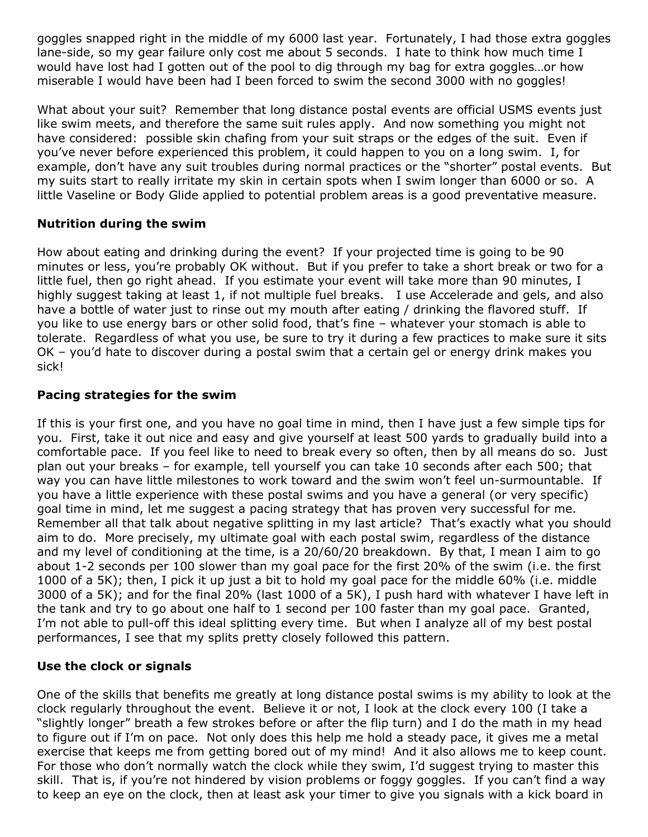goggles snapped right in the middle of my 6000 last year. Fortunately, I had those extra goggles lane-side, so my gear failure only cost me about 5 seconds. I hate to think how much time I would have lost had I gotten out of the pool to dig through my bag for extra goggles…or how miserable I would have been had I been forced to swim the second 3000 with no goggles!

What about your suit? Remember that long distance postal events are official USMS events just like swim meets, and therefore the same suit rules apply. And now something you might not have considered: possible skin chafing from your suit straps or the edges of the suit. Even if you've never before experienced this problem, it could happen to you on a long swim. I, for example, don't have any suit troubles during normal practices or the "shorter" postal events. But my suits start to really irritate my skin in certain spots when I swim longer than 6000 or so. A little Vaseline or Body Glide applied to potential problem areas is a good preventative measure.

# **Nutrition during the swim**

How about eating and drinking during the event? If your projected time is going to be 90 minutes or less, you're probably OK without. But if you prefer to take a short break or two for a little fuel, then go right ahead. If you estimate your event will take more than 90 minutes, I highly suggest taking at least 1, if not multiple fuel breaks. I use Accelerade and gels, and also have a bottle of water just to rinse out my mouth after eating / drinking the flavored stuff. If you like to use energy bars or other solid food, that's fine – whatever your stomach is able to tolerate. Regardless of what you use, be sure to try it during a few practices to make sure it sits OK – you'd hate to discover during a postal swim that a certain gel or energy drink makes you sick!

## **Pacing strategies for the swim**

If this is your first one, and you have no goal time in mind, then I have just a few simple tips for you. First, take it out nice and easy and give yourself at least 500 yards to gradually build into a comfortable pace. If you feel like to need to break every so often, then by all means do so. Just plan out your breaks – for example, tell yourself you can take 10 seconds after each 500; that way you can have little milestones to work toward and the swim won't feel un-surmountable. If you have a little experience with these postal swims and you have a general (or very specific) goal time in mind, let me suggest a pacing strategy that has proven very successful for me. Remember all that talk about negative splitting in my last article? That's exactly what you should aim to do. More precisely, my ultimate goal with each postal swim, regardless of the distance and my level of conditioning at the time, is a 20/60/20 breakdown. By that, I mean I aim to go about 1-2 seconds per 100 slower than my goal pace for the first 20% of the swim (i.e. the first 1000 of a 5K); then, I pick it up just a bit to hold my goal pace for the middle 60% (i.e. middle 3000 of a 5K); and for the final 20% (last 1000 of a 5K), I push hard with whatever I have left in the tank and try to go about one half to 1 second per 100 faster than my goal pace. Granted, I'm not able to pull-off this ideal splitting every time. But when I analyze all of my best postal performances, I see that my splits pretty closely followed this pattern.

### **Use the clock or signals**

One of the skills that benefits me greatly at long distance postal swims is my ability to look at the clock regularly throughout the event. Believe it or not, I look at the clock every 100 (I take a "slightly longer" breath a few strokes before or after the flip turn) and I do the math in my head to figure out if I'm on pace. Not only does this help me hold a steady pace, it gives me a metal exercise that keeps me from getting bored out of my mind! And it also allows me to keep count. For those who don't normally watch the clock while they swim, I'd suggest trying to master this skill. That is, if you're not hindered by vision problems or foggy goggles. If you can't find a way to keep an eye on the clock, then at least ask your timer to give you signals with a kick board in